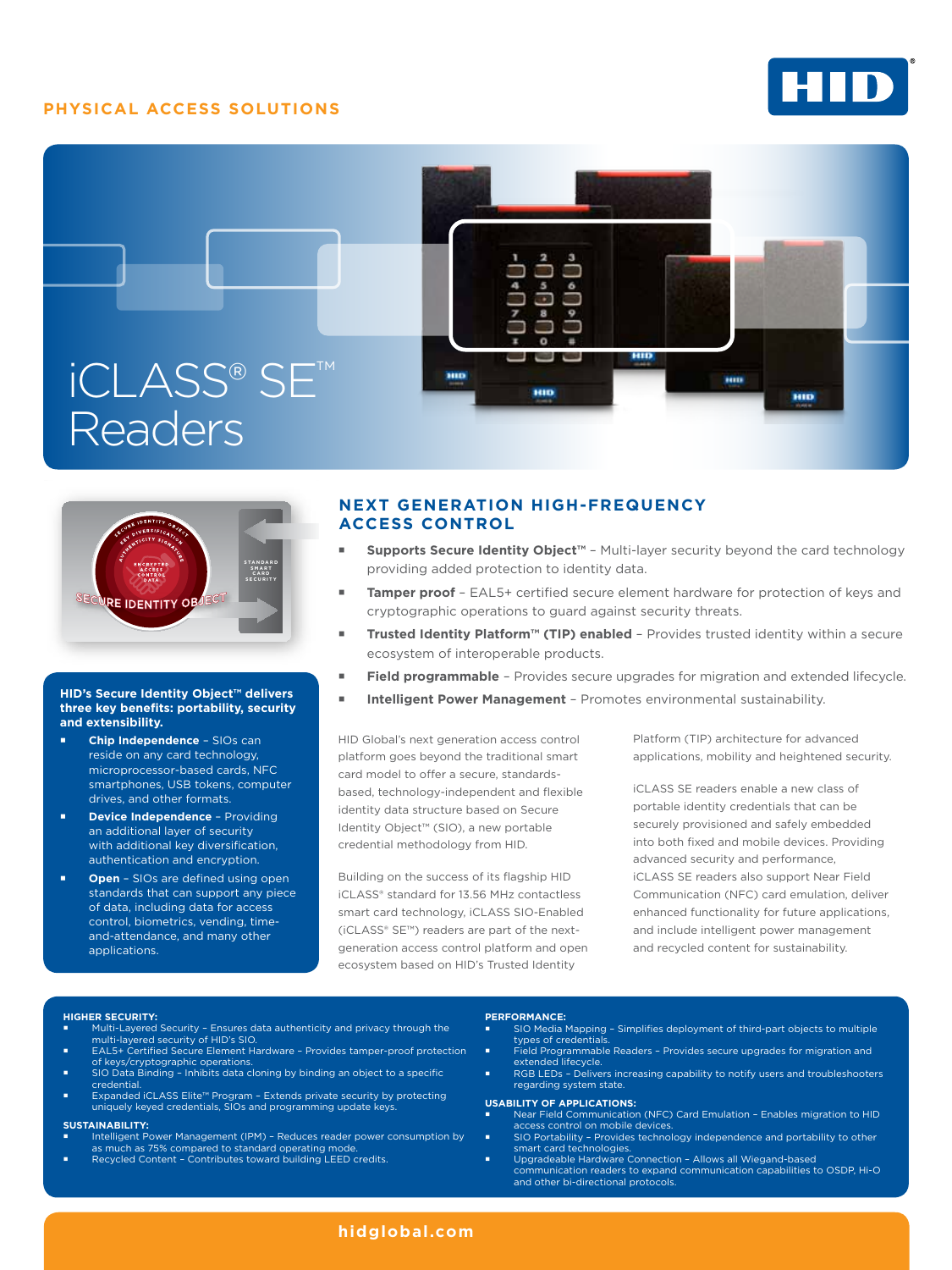## **PHYSICAL ACCESS SOLUTIONS**







### **HID's Secure Identity Object™ delivers three key benefits: portability, security and extensibility.**

- **Chip Independence**  SIOs can reside on any card technology, microprocessor-based cards, NFC smartphones, USB tokens, computer drives, and other formats.
- **Device Independence**  Providing an additional layer of security with additional key diversification, authentication and encryption.
- **Open** SIOs are defined using open standards that can support any piece of data, including data for access control, biometrics, vending, timeand-attendance, and many other applications.

# **Next Generation High-Frequency Access Control**

- **Supports Secure Identity Object™**  Multi-layer security beyond the card technology providing added protection to identity data.
- **Tamper proof**  EAL5+ certified secure element hardware for protection of keys and cryptographic operations to guard against security threats.
- **Trusted Identity Platform™ (TIP) enabled**  Provides trusted identity within a secure ecosystem of interoperable products.
- **Field programmable**  Provides secure upgrades for migration and extended lifecycle.
- **Intelligent Power Management** Promotes environmental sustainability.

HID Global's next generation access control platform goes beyond the traditional smart card model to offer a secure, standardsbased, technology-independent and flexible identity data structure based on Secure Identity Object™ (SIO), a new portable credential methodology from HID.

Building on the success of its flagship HID iCLASS® standard for 13.56 MHz contactless smart card technology, iCLASS SIO-Enabled (iCLASS® SE™) readers are part of the nextgeneration access control platform and open ecosystem based on HID's Trusted Identity

Platform (TIP) architecture for advanced applications, mobility and heightened security.

iCLASS SE readers enable a new class of portable identity credentials that can be securely provisioned and safely embedded into both fixed and mobile devices. Providing advanced security and performance, iCLASS SE readers also support Near Field Communication (NFC) card emulation, deliver enhanced functionality for future applications, and include intelligent power management and recycled content for sustainability.

- **Higher Security:** Multi-Layered Security Ensures data authenticity and privacy through the multi-layered security of HID's SIO.
- EAL5+ Certified Secure Element Hardware Provides tamper-proof protection of keys/cryptographic operations. SIO Data Binding – Inhibits data cloning by binding an object to a specific
- **credential**
- Expanded iCLASS Elite™ Program Extends private security by protecting uniquely keyed credentials, SIOs and programming update keys.

#### **Sustainability:**

- Intelligent Power Management (IPM) Reduces reader power consumption by as much as 75% compared to standard operating mode.
- Recycled Content Contributes toward building LEED credits.

### **Performance:**

- SIO Media Mapping Simplifies deployment of third-part objects to multiple types of credential Field Programmable Readers – Provides secure upgrades for migration and
- extended lifecycle. RGB LEDs – Delivers increasing capability to notify users and troubleshooters
- regarding system state.

- **Usability of Applications:** Near Field Communication (NFC) Card Emulation Enables migration to HID access control on mobile devices.
- SIO Portability Provides technology independence and portability to other smart card technologies. Upgradeable Hardware Connection – Allows all Wiegand-based
- communication readers to expand communication capabilities to OSDP, Hi-O and other bi-directional protocols.